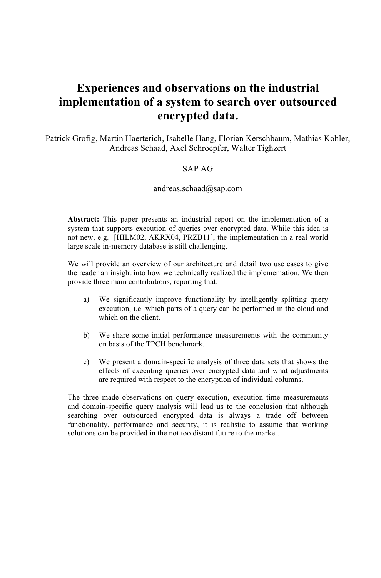# **Experiences and observations on the industrial implementation of a system to search over outsourced encrypted data.**

Patrick Grofig, Martin Haerterich, Isabelle Hang, Florian Kerschbaum, Mathias Kohler, Andreas Schaad, Axel Schroepfer, Walter Tighzert

#### SAP AG

#### andreas.schaad@sap.com

**Abstract:** This paper presents an industrial report on the implementation of a system that supports execution of queries over encrypted data. While this idea is not new, e.g. [HILM02, AKRX04, PRZB11], the implementation in a real world large scale in-memory database is still challenging.

We will provide an overview of our architecture and detail two use cases to give the reader an insight into how we technically realized the implementation. We then provide three main contributions, reporting that:

- a) We significantly improve functionality by intelligently splitting query execution, i.e. which parts of a query can be performed in the cloud and which on the client.
- b) We share some initial performance measurements with the community on basis of the TPCH benchmark.
- c) We present a domain-specific analysis of three data sets that shows the effects of executing queries over encrypted data and what adjustments are required with respect to the encryption of individual columns.

The three made observations on query execution, execution time measurements and domain-specific query analysis will lead us to the conclusion that although searching over outsourced encrypted data is always a trade off between functionality, performance and security, it is realistic to assume that working solutions can be provided in the not too distant future to the market.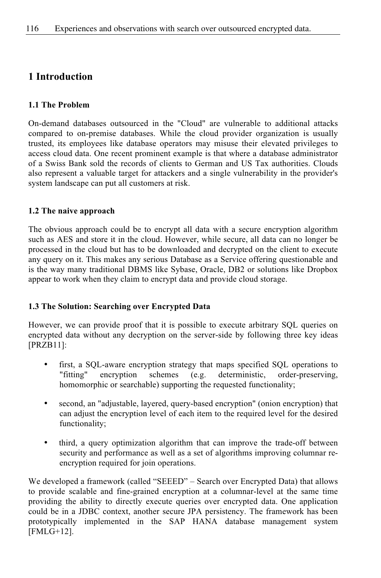# **1 Introduction**

### **1.1 The Problem**

On-demand databases outsourced in the "Cloud" are vulnerable to additional attacks compared to on-premise databases. While the cloud provider organization is usually trusted, its employees like database operators may misuse their elevated privileges to access cloud data. One recent prominent example is that where a database administrator of a Swiss Bank sold the records of clients to German and US Tax authorities. Clouds also represent a valuable target for attackers and a single vulnerability in the provider's system landscape can put all customers at risk.

### **1.2 The naive approach**

The obvious approach could be to encrypt all data with a secure encryption algorithm such as AES and store it in the cloud. However, while secure, all data can no longer be processed in the cloud but has to be downloaded and decrypted on the client to execute any query on it. This makes any serious Database as a Service offering questionable and is the way many traditional DBMS like Sybase, Oracle, DB2 or solutions like Dropbox appear to work when they claim to encrypt data and provide cloud storage.

### **1.3 The Solution: Searching over Encrypted Data**

However, we can provide proof that it is possible to execute arbitrary SQL queries on encrypted data without any decryption on the server-side by following three key ideas [PRZB11]:

- first, a SQL-aware encryption strategy that maps specified SQL operations to "fitting" encryption schemes (e.g. deterministic, order-preserving, homomorphic or searchable) supporting the requested functionality;
- second, an "adjustable, layered, query-based encryption" (onion encryption) that can adjust the encryption level of each item to the required level for the desired functionality;
- third, a query optimization algorithm that can improve the trade-off between security and performance as well as a set of algorithms improving columnar reencryption required for join operations.

We developed a framework (called "SEEED" – Search over Encrypted Data) that allows to provide scalable and fine-grained encryption at a columnar-level at the same time providing the ability to directly execute queries over encrypted data. One application could be in a JDBC context, another secure JPA persistency. The framework has been prototypically implemented in the SAP HANA database management system [FMLG+12].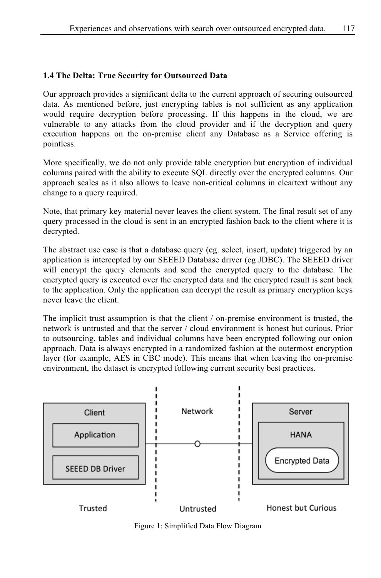## **1.4 The Delta: True Security for Outsourced Data**

Our approach provides a significant delta to the current approach of securing outsourced data. As mentioned before, just encrypting tables is not sufficient as any application would require decryption before processing. If this happens in the cloud, we are vulnerable to any attacks from the cloud provider and if the decryption and query execution happens on the on-premise client any Database as a Service offering is pointless.

More specifically, we do not only provide table encryption but encryption of individual columns paired with the ability to execute SQL directly over the encrypted columns. Our approach scales as it also allows to leave non-critical columns in cleartext without any change to a query required.

Note, that primary key material never leaves the client system. The final result set of any query processed in the cloud is sent in an encrypted fashion back to the client where it is decrypted.

The abstract use case is that a database query (eg. select, insert, update) triggered by an application is intercepted by our SEEED Database driver (eg JDBC). The SEEED driver will encrypt the query elements and send the encrypted query to the database. The encrypted query is executed over the encrypted data and the encrypted result is sent back to the application. Only the application can decrypt the result as primary encryption keys never leave the client.

The implicit trust assumption is that the client / on-premise environment is trusted, the network is untrusted and that the server / cloud environment is honest but curious. Prior to outsourcing, tables and individual columns have been encrypted following our onion approach. Data is always encrypted in a randomized fashion at the outermost encryption layer (for example, AES in CBC mode). This means that when leaving the on-premise environment, the dataset is encrypted following current security best practices.



Figure 1: Simplified Data Flow Diagram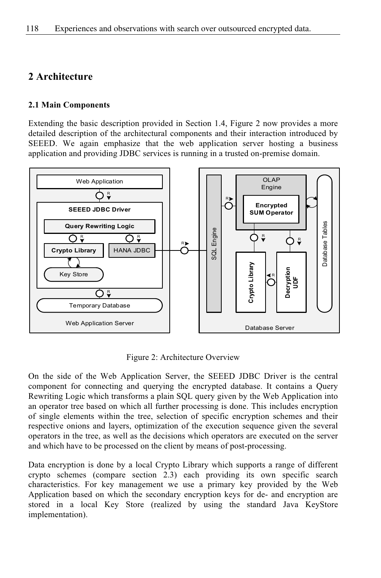# **2 Architecture**

### **2.1 Main Components**

Extending the basic description provided in Section 1.4, Figure 2 now provides a more detailed description of the architectural components and their interaction introduced by SEEED. We again emphasize that the web application server hosting a business application and providing JDBC services is running in a trusted on-premise domain.



Figure 2: Architecture Overview

On the side of the Web Application Server, the SEEED JDBC Driver is the central component for connecting and querying the encrypted database. It contains a Query Rewriting Logic which transforms a plain SQL query given by the Web Application into an operator tree based on which all further processing is done. This includes encryption of single elements within the tree, selection of specific encryption schemes and their respective onions and layers, optimization of the execution sequence given the several operators in the tree, as well as the decisions which operators are executed on the server and which have to be processed on the client by means of post-processing.

Data encryption is done by a local Crypto Library which supports a range of different crypto schemes (compare section 2.3) each providing its own specific search characteristics. For key management we use a primary key provided by the Web Application based on which the secondary encryption keys for de- and encryption are stored in a local Key Store (realized by using the standard Java KeyStore implementation).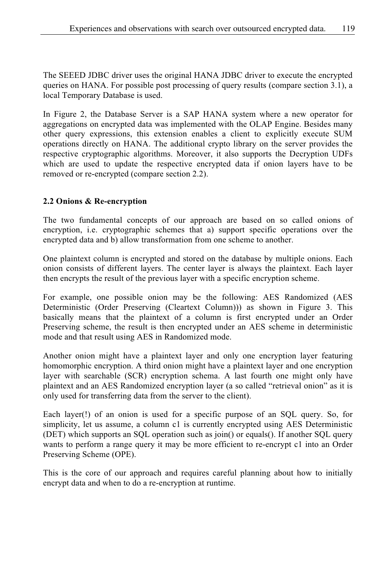The SEEED JDBC driver uses the original HANA JDBC driver to execute the encrypted queries on HANA. For possible post processing of query results (compare section 3.1), a local Temporary Database is used.

In Figure 2, the Database Server is a SAP HANA system where a new operator for aggregations on encrypted data was implemented with the OLAP Engine. Besides many other query expressions, this extension enables a client to explicitly execute SUM operations directly on HANA. The additional crypto library on the server provides the respective cryptographic algorithms. Moreover, it also supports the Decryption UDFs which are used to update the respective encrypted data if onion layers have to be removed or re-encrypted (compare section 2.2).

## **2.2 Onions & Re-encryption**

The two fundamental concepts of our approach are based on so called onions of encryption, i.e. cryptographic schemes that a) support specific operations over the encrypted data and b) allow transformation from one scheme to another.

One plaintext column is encrypted and stored on the database by multiple onions. Each onion consists of different layers. The center layer is always the plaintext. Each layer then encrypts the result of the previous layer with a specific encryption scheme.

For example, one possible onion may be the following: AES Randomized (AES Deterministic (Order Preserving (Cleartext Column))) as shown in Figure 3. This basically means that the plaintext of a column is first encrypted under an Order Preserving scheme, the result is then encrypted under an AES scheme in deterministic mode and that result using AES in Randomized mode.

Another onion might have a plaintext layer and only one encryption layer featuring homomorphic encryption. A third onion might have a plaintext layer and one encryption layer with searchable (SCR) encryption schema. A last fourth one might only have plaintext and an AES Randomized encryption layer (a so called "retrieval onion" as it is only used for transferring data from the server to the client).

Each layer(!) of an onion is used for a specific purpose of an SQL query. So, for simplicity, let us assume, a column c1 is currently encrypted using AES Deterministic (DET) which supports an SQL operation such as join() or equals(). If another SQL query wants to perform a range query it may be more efficient to re-encrypt c1 into an Order Preserving Scheme (OPE).

This is the core of our approach and requires careful planning about how to initially encrypt data and when to do a re-encryption at runtime.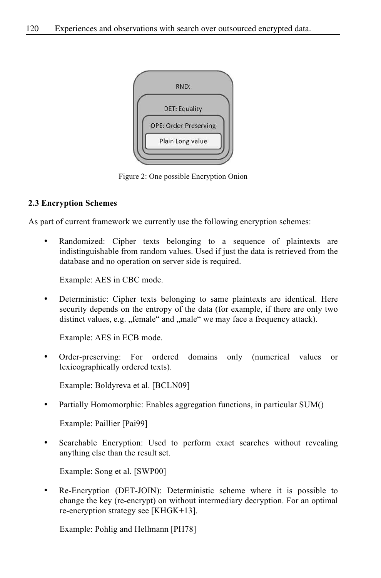

Figure 2: One possible Encryption Onion

### **2.3 Encryption Schemes**

As part of current framework we currently use the following encryption schemes:

Randomized: Cipher texts belonging to a sequence of plaintexts are indistinguishable from random values. Used if just the data is retrieved from the database and no operation on server side is required.

Example: AES in CBC mode.

• Deterministic: Cipher texts belonging to same plaintexts are identical. Here security depends on the entropy of the data (for example, if there are only two distinct values, e.g. "female" and "male" we may face a frequency attack).

Example: AES in ECB mode.

• Order-preserving: For ordered domains only (numerical values or lexicographically ordered texts).

Example: Boldyreva et al. [BCLN09]

• Partially Homomorphic: Enables aggregation functions, in particular SUM()

Example: Paillier [Pai99]

Searchable Encryption: Used to perform exact searches without revealing anything else than the result set.

Example: Song et al. [SWP00]

• Re-Encryption (DET-JOIN): Deterministic scheme where it is possible to change the key (re-encrypt) on without intermediary decryption. For an optimal re-encryption strategy see [KHGK+13].

Example: Pohlig and Hellmann [PH78]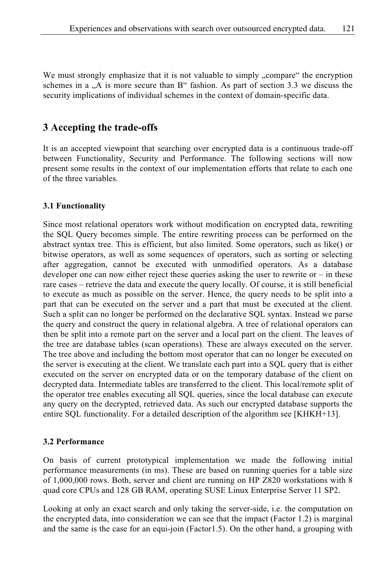We must strongly emphasize that it is not valuable to simply , compare "the encryption" schemes in a  $<sub>1</sub>A$  is more secure than B" fashion. As part of section 3.3 we discuss the</sub> security implications of individual schemes in the context of domain-specific data.

# **3 Accepting the trade-offs**

It is an accepted viewpoint that searching over encrypted data is a continuous trade-off between Functionality, Security and Performance. The following sections will now present some results in the context of our implementation efforts that relate to each one of the three variables.

#### **3.1 Functionality**

Since most relational operators work without modification on encrypted data, rewriting the SQL Query becomes simple. The entire rewriting process can be performed on the abstract syntax tree. This is efficient, but also limited. Some operators, such as like() or bitwise operators, as well as some sequences of operators, such as sorting or selecting after aggregation, cannot be executed with unmodified operators. As a database developer one can now either reject these queries asking the user to rewrite or – in these rare cases – retrieve the data and execute the query locally. Of course, it is still beneficial to execute as much as possible on the server. Hence, the query needs to be split into a part that can be executed on the server and a part that must be executed at the client. Such a split can no longer be performed on the declarative SQL syntax. Instead we parse the query and construct the query in relational algebra. A tree of relational operators can then be split into a remote part on the server and a local part on the client. The leaves of the tree are database tables (scan operations). These are always executed on the server. The tree above and including the bottom most operator that can no longer be executed on the server is executing at the client. We translate each part into a SQL query that is either executed on the server on encrypted data or on the temporary database of the client on decrypted data. Intermediate tables are transferred to the client. This local/remote split of the operator tree enables executing all SQL queries, since the local database can execute any query on the decrypted, retrieved data. As such our encrypted database supports the entire SQL functionality. For a detailed description of the algorithm see [KHKH+13].

#### **3.2 Performance**

On basis of current prototypical implementation we made the following initial performance measurements (in ms). These are based on running queries for a table size of 1,000,000 rows. Both, server and client are running on HP Z820 workstations with 8 quad core CPUs and 128 GB RAM, operating SUSE Linux Enterprise Server 11 SP2.

Looking at only an exact search and only taking the server-side, i.e. the computation on the encrypted data, into consideration we can see that the impact (Factor 1.2) is marginal and the same is the case for an equi-join (Factor1.5). On the other hand, a grouping with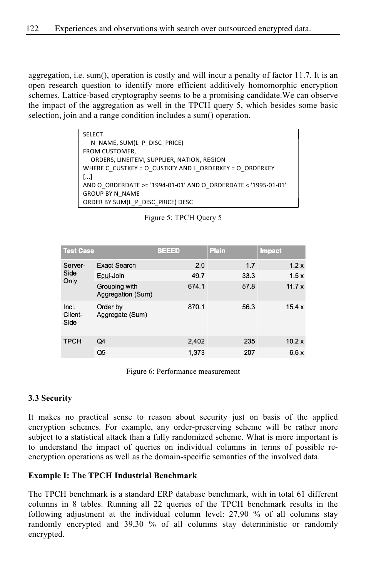aggregation, i.e. sum(), operation is costly and will incur a penalty of factor 11.7. It is an open research question to identify more efficient additively homomorphic encryption schemes. Lattice-based cryptography seems to be a promising candidate.We can observe the impact of the aggregation as well in the TPCH query 5, which besides some basic selection, join and a range condition includes a sum() operation.

| <b>SELECT</b>                                                  |
|----------------------------------------------------------------|
| N NAME, SUM(L P DISC PRICE)                                    |
| FROM CUSTOMER,                                                 |
| ORDERS, LINEITEM, SUPPLIER, NATION, REGION                     |
| WHERE C CUSTKEY = O CUSTKEY AND L ORDERKEY = O ORDERKEY        |
| $\left[ \ldots \right]$                                        |
| AND O ORDERDATE >= '1994-01-01' AND O ORDERDATE < '1995-01-01' |
| <b>GROUP BY N NAME</b>                                         |
| ORDER BY SUM(L P DISC PRICE) DESC                              |

| Figure 5: TPCH Query 5 |  |  |  |  |
|------------------------|--|--|--|--|
|------------------------|--|--|--|--|

| <b>Test Case</b>         |                                    | <b>SEEED</b> | <b>Plain</b> | <b>Impact</b> |
|--------------------------|------------------------------------|--------------|--------------|---------------|
| Server-<br>Side<br>Only  | <b>Exact Search</b>                | 2.0          | 1.7          | 1.2x          |
|                          | Equi-Join                          | 49.7         | 33.3         | 1.5x          |
|                          | Grouping with<br>Aggregation (Sum) | 674.1        | 57.8         | 11.7 $x$      |
| Incl.<br>Client-<br>Side | Order by<br>Aggregate (Sum)        | 870.1        | 56.3         | 15.4x         |
| <b>TPCH</b>              | Q <sub>4</sub>                     | 2,402        | 235          | 10.2x         |
|                          | Q5                                 | 1.373        | 207          | 6.6x          |

Figure 6: Performance measurement

### **3.3 Security**

It makes no practical sense to reason about security just on basis of the applied encryption schemes. For example, any order-preserving scheme will be rather more subject to a statistical attack than a fully randomized scheme. What is more important is to understand the impact of queries on individual columns in terms of possible reencryption operations as well as the domain-specific semantics of the involved data.

#### **Example I: The TPCH Industrial Benchmark**

The TPCH benchmark is a standard ERP database benchmark, with in total 61 different columns in 8 tables. Running all 22 queries of the TPCH benchmark results in the following adjustment at the individual column level: 27,90 % of all columns stay randomly encrypted and 39,30 % of all columns stay deterministic or randomly encrypted.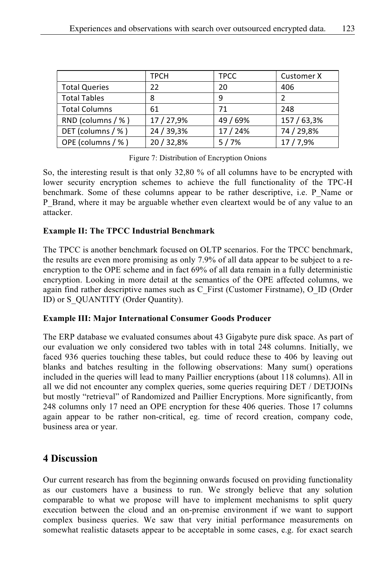|                      | <b>TPCH</b> | <b>TPCC</b> | <b>Customer X</b> |
|----------------------|-------------|-------------|-------------------|
| <b>Total Queries</b> | 22          | 20          | 406               |
| <b>Total Tables</b>  | 8           | 9           |                   |
| <b>Total Columns</b> | 61          | 71          | 248               |
| RND (columns / %)    | 17 / 27,9%  | 49 / 69%    | 157 / 63,3%       |
| DET (columns / %)    | 24 / 39,3%  | 17 / 24%    | 74 / 29,8%        |
| OPE (columns / %)    | 20 / 32,8%  | 5/7%        | 17/7,9%           |

Figure 7: Distribution of Encryption Onions

So, the interesting result is that only 32,80 % of all columns have to be encrypted with lower security encryption schemes to achieve the full functionality of the TPC-H benchmark. Some of these columns appear to be rather descriptive, i.e. P\_Name or P\_Brand, where it may be arguable whether even cleartext would be of any value to an attacker.

## **Example II: The TPCC Industrial Benchmark**

The TPCC is another benchmark focused on OLTP scenarios. For the TPCC benchmark, the results are even more promising as only 7.9% of all data appear to be subject to a reencryption to the OPE scheme and in fact 69% of all data remain in a fully deterministic encryption. Looking in more detail at the semantics of the OPE affected columns, we again find rather descriptive names such as C\_First (Customer Firstname), O\_ID (Order ID) or S\_QUANTITY (Order Quantity).

### **Example III: Major International Consumer Goods Producer**

The ERP database we evaluated consumes about 43 Gigabyte pure disk space. As part of our evaluation we only considered two tables with in total 248 columns. Initially, we faced 936 queries touching these tables, but could reduce these to 406 by leaving out blanks and batches resulting in the following observations: Many sum() operations included in the queries will lead to many Paillier encryptions (about 118 columns). All in all we did not encounter any complex queries, some queries requiring DET / DETJOINs but mostly "retrieval" of Randomized and Paillier Encryptions. More significantly, from 248 columns only 17 need an OPE encryption for these 406 queries. Those 17 columns again appear to be rather non-critical, eg. time of record creation, company code, business area or year.

# **4 Discussion**

Our current research has from the beginning onwards focused on providing functionality as our customers have a business to run. We strongly believe that any solution comparable to what we propose will have to implement mechanisms to split query execution between the cloud and an on-premise environment if we want to support complex business queries. We saw that very initial performance measurements on somewhat realistic datasets appear to be acceptable in some cases, e.g. for exact search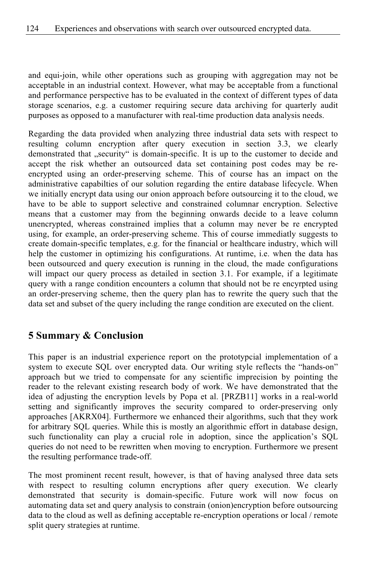and equi-join, while other operations such as grouping with aggregation may not be acceptable in an industrial context. However, what may be acceptable from a functional and performance perspective has to be evaluated in the context of different types of data storage scenarios, e.g. a customer requiring secure data archiving for quarterly audit purposes as opposed to a manufacturer with real-time production data analysis needs.

Regarding the data provided when analyzing three industrial data sets with respect to resulting column encryption after query execution in section 3.3, we clearly demonstrated that "security" is domain-specific. It is up to the customer to decide and accept the risk whether an outsourced data set containing post codes may be reencrypted using an order-preserving scheme. This of course has an impact on the administrative capabilties of our solution regarding the entire database lifecycle. When we initially encrypt data using our onion approach before outsourcing it to the cloud, we have to be able to support selective and constrained columnar encryption. Selective means that a customer may from the beginning onwards decide to a leave column unencrypted, whereas constrained implies that a column may never be re encrypted using, for example, an order-preserving scheme. This of course immediatly suggests to create domain-specific templates, e.g. for the financial or healthcare industry, which will help the customer in optimizing his configurations. At runtime, i.e. when the data has been outsourced and query execution is running in the cloud, the made configurations will impact our query process as detailed in section 3.1. For example, if a legitimate query with a range condition encounters a column that should not be re encyrpted using an order-preserving scheme, then the query plan has to rewrite the query such that the data set and subset of the query including the range condition are executed on the client.

## **5 Summary & Conclusion**

This paper is an industrial experience report on the prototypcial implementation of a system to execute SQL over encrypted data. Our writing style reflects the "hands-on" approach but we tried to compensate for any scientific imprecision by pointing the reader to the relevant existing research body of work. We have demonstrated that the idea of adjusting the encryption levels by Popa et al. [PRZB11] works in a real-world setting and significantly improves the security compared to order-preserving only approaches [AKRX04]. Furthermore we enhanced their algorithms, such that they work for arbitrary SQL queries. While this is mostly an algorithmic effort in database design, such functionality can play a crucial role in adoption, since the application's SQL queries do not need to be rewritten when moving to encryption. Furthermore we present the resulting performance trade-off.

The most prominent recent result, however, is that of having analysed three data sets with respect to resulting column encryptions after query execution. We clearly demonstrated that security is domain-specific. Future work will now focus on automating data set and query analysis to constrain (onion)encryption before outsourcing data to the cloud as well as defining acceptable re-encryption operations or local / remote split query strategies at runtime.